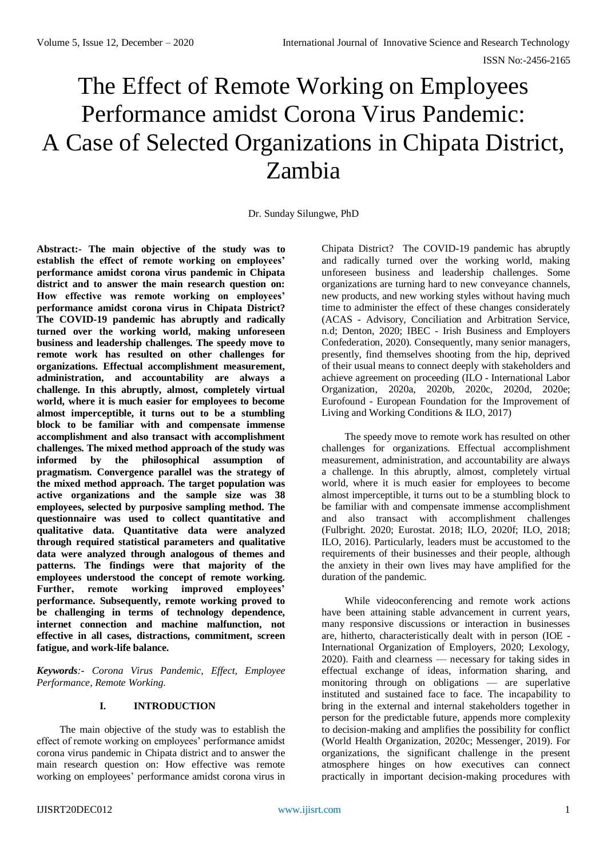# The Effect of Remote Working on Employees Performance amidst Corona Virus Pandemic: A Case of Selected Organizations in Chipata District, Zambia

Dr. Sunday Silungwe, PhD

**Abstract:- The main objective of the study was to establish the effect of remote working on employees' performance amidst corona virus pandemic in Chipata district and to answer the main research question on: How effective was remote working on employees' performance amidst corona virus in Chipata District? The COVID-19 pandemic has abruptly and radically turned over the working world, making unforeseen business and leadership challenges. The speedy move to remote work has resulted on other challenges for organizations. Effectual accomplishment measurement, administration, and accountability are always a challenge. In this abruptly, almost, completely virtual world, where it is much easier for employees to become almost imperceptible, it turns out to be a stumbling block to be familiar with and compensate immense accomplishment and also transact with accomplishment challenges. The mixed method approach of the study was informed by the philosophical assumption of pragmatism. Convergence parallel was the strategy of the mixed method approach. The target population was active organizations and the sample size was 38 employees, selected by purposive sampling method. The questionnaire was used to collect quantitative and qualitative data. Quantitative data were analyzed through required statistical parameters and qualitative data were analyzed through analogous of themes and patterns. The findings were that majority of the employees understood the concept of remote working. Further, remote working improved employees' performance. Subsequently, remote working proved to be challenging in terms of technology dependence, internet connection and machine malfunction, not effective in all cases, distractions, commitment, screen fatigue, and work-life balance.**

*Keywords:- Corona Virus Pandemic, Effect, Employee Performance, Remote Working.*

## **I. INTRODUCTION**

The main objective of the study was to establish the effect of remote working on employees' performance amidst corona virus pandemic in Chipata district and to answer the main research question on: How effective was remote working on employees' performance amidst corona virus in

Chipata District? The COVID-19 pandemic has abruptly and radically turned over the working world, making unforeseen business and leadership challenges. Some organizations are turning hard to new conveyance channels, new products, and new working styles without having much time to administer the effect of these changes considerately (ACAS - Advisory, Conciliation and Arbitration Service, n.d; Denton, 2020; IBEC - Irish Business and Employers Confederation, 2020). Consequently, many senior managers, presently, find themselves shooting from the hip, deprived of their usual means to connect deeply with stakeholders and achieve agreement on proceeding (ILO - International Labor Organization, 2020a, 2020b, 2020c, 2020d, 2020e; Eurofound - European Foundation for the Improvement of Living and Working Conditions & ILO, 2017)

The speedy move to remote work has resulted on other challenges for organizations. Effectual accomplishment measurement, administration, and accountability are always a challenge. In this abruptly, almost, completely virtual world, where it is much easier for employees to become almost imperceptible, it turns out to be a stumbling block to be familiar with and compensate immense accomplishment and also transact with accomplishment challenges (Fulbright. 2020; Eurostat. 2018; ILO, 2020f; ILO, 2018; ILO, 2016). Particularly, leaders must be accustomed to the requirements of their businesses and their people, although the anxiety in their own lives may have amplified for the duration of the pandemic.

While videoconferencing and remote work actions have been attaining stable advancement in current years, many responsive discussions or interaction in businesses are, hitherto, characteristically dealt with in person (IOE - International Organization of Employers, 2020; Lexology, 2020). Faith and clearness — necessary for taking sides in effectual exchange of ideas, information sharing, and monitoring through on obligations — are superlative instituted and sustained face to face. The incapability to bring in the external and internal stakeholders together in person for the predictable future, appends more complexity to decision-making and amplifies the possibility for conflict (World Health Organization, 2020c; Messenger, 2019). For organizations, the significant challenge in the present atmosphere hinges on how executives can connect practically in important decision-making procedures with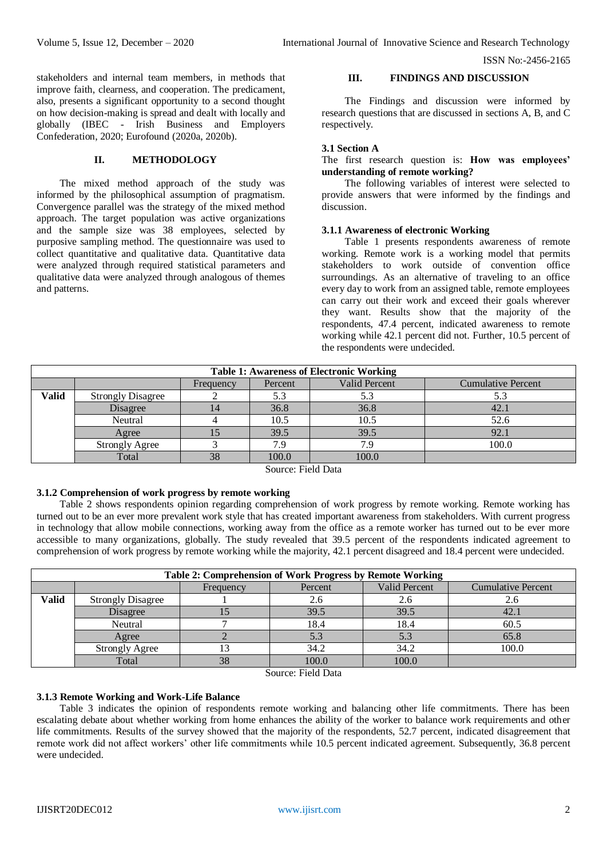ISSN No:-2456-2165

stakeholders and internal team members, in methods that improve faith, clearness, and cooperation. The predicament, also, presents a significant opportunity to a second thought on how decision-making is spread and dealt with locally and globally (IBEC - Irish Business and Employers Confederation, 2020; Eurofound (2020a, 2020b).

# **II. METHODOLOGY**

The mixed method approach of the study was informed by the philosophical assumption of pragmatism. Convergence parallel was the strategy of the mixed method approach. The target population was active organizations and the sample size was 38 employees, selected by purposive sampling method. The questionnaire was used to collect quantitative and qualitative data. Quantitative data were analyzed through required statistical parameters and qualitative data were analyzed through analogous of themes and patterns.

# **III. FINDINGS AND DISCUSSION**

The Findings and discussion were informed by research questions that are discussed in sections A, B, and C respectively.

# **3.1 Section A**

The first research question is: **How was employees' understanding of remote working?** 

The following variables of interest were selected to provide answers that were informed by the findings and discussion.

# **3.1.1 Awareness of electronic Working**

Table 1 presents respondents awareness of remote working. Remote work is a working model that permits stakeholders to work outside of convention office surroundings. As an alternative of traveling to an office every day to work from an assigned table, remote employees can carry out their work and exceed their goals wherever they want. Results show that the majority of the respondents, 47.4 percent, indicated awareness to remote working while 42.1 percent did not. Further, 10.5 percent of the respondents were undecided.

| <b>Table 1: Awareness of Electronic Working</b> |                          |           |         |               |                           |  |  |
|-------------------------------------------------|--------------------------|-----------|---------|---------------|---------------------------|--|--|
|                                                 |                          | Frequency | Percent | Valid Percent | <b>Cumulative Percent</b> |  |  |
| <b>Valid</b>                                    | <b>Strongly Disagree</b> |           | 5.3     | 5.3           |                           |  |  |
|                                                 | Disagree                 |           | 36.8    | 36.8          | 42.1                      |  |  |
|                                                 | Neutral                  |           | 10.5    | 10.5          | 52.6                      |  |  |
|                                                 | Agree                    |           | 39.5    | 39.5          | 92.1                      |  |  |
|                                                 | <b>Strongly Agree</b>    |           | 7.9     | 7.9           | 100.0                     |  |  |
|                                                 | Total                    | 38        | 100.0   | 100.0         |                           |  |  |
| $\sim$                                          |                          |           |         |               |                           |  |  |

Source: Field Data

## **3.1.2 Comprehension of work progress by remote working**

Table 2 shows respondents opinion regarding comprehension of work progress by remote working. Remote working has turned out to be an ever more prevalent work style that has created important awareness from stakeholders. With current progress in technology that allow mobile connections, working away from the office as a remote worker has turned out to be ever more accessible to many organizations, globally. The study revealed that 39.5 percent of the respondents indicated agreement to comprehension of work progress by remote working while the majority, 42.1 percent disagreed and 18.4 percent were undecided.

| Table 2: Comprehension of Work Progress by Remote Working |                                                                    |    |       |       |       |  |  |  |
|-----------------------------------------------------------|--------------------------------------------------------------------|----|-------|-------|-------|--|--|--|
|                                                           | Valid Percent<br><b>Cumulative Percent</b><br>Percent<br>Frequency |    |       |       |       |  |  |  |
| <b>Valid</b>                                              | <b>Strongly Disagree</b>                                           |    | 2.6   |       | 2.6   |  |  |  |
|                                                           | Disagree                                                           |    | 39.5  | 39.5  | 42.1  |  |  |  |
|                                                           | Neutral                                                            |    | 18.4  | 18.4  | 60.5  |  |  |  |
|                                                           | Agree                                                              |    |       | 5.3   | 65.8  |  |  |  |
|                                                           | <b>Strongly Agree</b>                                              | 13 | 34.2  | 34.2  | 100.0 |  |  |  |
|                                                           | Total                                                              | 38 | 100.0 | 100.0 |       |  |  |  |

Source: Field Data

# **3.1.3 Remote Working and Work-Life Balance**

Table 3 indicates the opinion of respondents remote working and balancing other life commitments. There has been escalating debate about whether working from home enhances the ability of the worker to balance work requirements and other life commitments. Results of the survey showed that the majority of the respondents, 52.7 percent, indicated disagreement that remote work did not affect workers' other life commitments while 10.5 percent indicated agreement. Subsequently, 36.8 percent were undecided.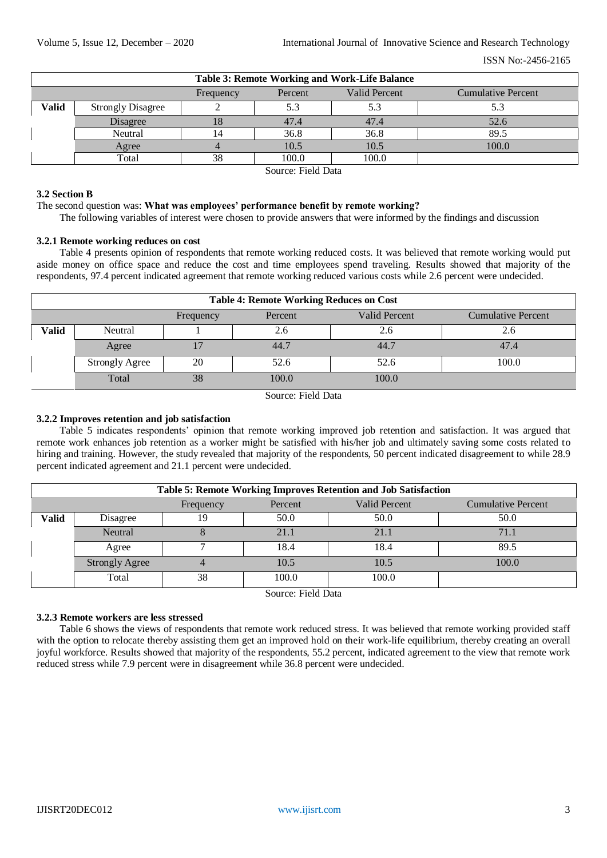| Table 3: Remote Working and Work-Life Balance                      |                          |    |       |       |       |  |  |
|--------------------------------------------------------------------|--------------------------|----|-------|-------|-------|--|--|
| Valid Percent<br><b>Cumulative Percent</b><br>Percent<br>Frequency |                          |    |       |       |       |  |  |
| Valid                                                              | <b>Strongly Disagree</b> |    |       |       |       |  |  |
|                                                                    | Disagree                 |    | 47.4  | 47.4  | 52.6  |  |  |
|                                                                    | Neutral                  |    | 36.8  | 36.8  | 89.5  |  |  |
|                                                                    | Agree                    |    | 10.5  | 10.5  | 100.0 |  |  |
|                                                                    | Total                    | 38 | 100.0 | 100.0 |       |  |  |

Source: Field Data

#### **3.2 Section B**

The second question was: **What was employees' performance benefit by remote working?**

The following variables of interest were chosen to provide answers that were informed by the findings and discussion

## **3.2.1 Remote working reduces on cost**

Table 4 presents opinion of respondents that remote working reduced costs. It was believed that remote working would put aside money on office space and reduce the cost and time employees spend traveling. Results showed that majority of the respondents, 97.4 percent indicated agreement that remote working reduced various costs while 2.6 percent were undecided.

| <b>Table 4: Remote Working Reduces on Cost</b> |                                                                           |    |       |       |       |  |  |  |
|------------------------------------------------|---------------------------------------------------------------------------|----|-------|-------|-------|--|--|--|
|                                                | <b>Valid Percent</b><br><b>Cumulative Percent</b><br>Frequency<br>Percent |    |       |       |       |  |  |  |
| Valid                                          | Neutral                                                                   |    | 2.6   | 2.6   | 2.6   |  |  |  |
|                                                | Agree                                                                     |    | 44.7  | 44.7  | 47.4  |  |  |  |
|                                                | <b>Strongly Agree</b>                                                     | 20 | 52.6  | 52.6  | 100.0 |  |  |  |
|                                                | Total                                                                     | 38 | 100.0 | 100.0 |       |  |  |  |

Source: Field Data

## **3.2.2 Improves retention and job satisfaction**

Table 5 indicates respondents' opinion that remote working improved job retention and satisfaction. It was argued that remote work enhances job retention as a worker might be satisfied with his/her job and ultimately saving some costs related to hiring and training. However, the study revealed that majority of the respondents, 50 percent indicated disagreement to while 28.9 percent indicated agreement and 21.1 percent were undecided.

| Table 5: Remote Working Improves Retention and Job Satisfaction |                                                                           |    |       |       |       |  |  |  |
|-----------------------------------------------------------------|---------------------------------------------------------------------------|----|-------|-------|-------|--|--|--|
|                                                                 | <b>Valid Percent</b><br><b>Cumulative Percent</b><br>Percent<br>Frequency |    |       |       |       |  |  |  |
| Valid                                                           | Disagree                                                                  | 19 | 50.0  | 50.0  | 50.0  |  |  |  |
|                                                                 | <b>Neutral</b>                                                            |    | 21.1  | 21.1  | 71.1  |  |  |  |
|                                                                 | Agree                                                                     |    | 18.4  | 18.4  | 89.5  |  |  |  |
|                                                                 | <b>Strongly Agree</b>                                                     |    | 10.5  | 10.5  | 100.0 |  |  |  |
|                                                                 | Total                                                                     | 38 | 100.0 | 100.0 |       |  |  |  |

Source: Field Data

#### **3.2.3 Remote workers are less stressed**

Table 6 shows the views of respondents that remote work reduced stress. It was believed that remote working provided staff with the option to relocate thereby assisting them get an improved hold on their work-life equilibrium, thereby creating an overall joyful workforce. Results showed that majority of the respondents, 55.2 percent, indicated agreement to the view that remote work reduced stress while 7.9 percent were in disagreement while 36.8 percent were undecided.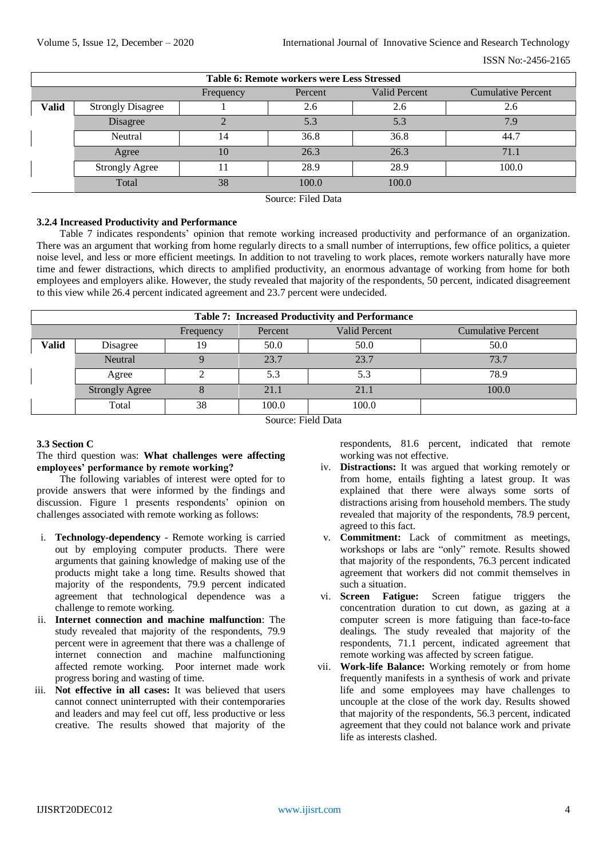| <b>Table 6: Remote workers were Less Stressed</b> |                                                                           |    |       |       |       |  |  |  |  |
|---------------------------------------------------|---------------------------------------------------------------------------|----|-------|-------|-------|--|--|--|--|
|                                                   | <b>Valid Percent</b><br><b>Cumulative Percent</b><br>Percent<br>Frequency |    |       |       |       |  |  |  |  |
| <b>Valid</b>                                      | <b>Strongly Disagree</b>                                                  |    | 2.6   | 2.6   | 2.6   |  |  |  |  |
|                                                   | Disagree                                                                  |    | 5.3   | 5.3   | 7.9   |  |  |  |  |
|                                                   | Neutral                                                                   | 14 | 36.8  | 36.8  | 44.7  |  |  |  |  |
|                                                   | Agree                                                                     | 10 | 26.3  | 26.3  | 71.1  |  |  |  |  |
|                                                   | <b>Strongly Agree</b>                                                     |    | 28.9  | 28.9  | 100.0 |  |  |  |  |
|                                                   | Total                                                                     | 38 | 100.0 | 100.0 |       |  |  |  |  |

Source: Filed Data

## **3.2.4 Increased Productivity and Performance**

Table 7 indicates respondents' opinion that remote working increased productivity and performance of an organization. There was an argument that working from home regularly directs to a small number of interruptions, few office politics, a quieter noise level, and less or more efficient meetings. In addition to not traveling to work places, remote workers naturally have more time and fewer distractions, which directs to amplified productivity, an enormous advantage of working from home for both employees and employers alike. However, the study revealed that majority of the respondents, 50 percent, indicated disagreement to this view while 26.4 percent indicated agreement and 23.7 percent were undecided.

| <b>Table 7: Increased Productivity and Performance</b> |                                                                           |    |       |       |       |  |  |  |  |
|--------------------------------------------------------|---------------------------------------------------------------------------|----|-------|-------|-------|--|--|--|--|
|                                                        | <b>Valid Percent</b><br><b>Cumulative Percent</b><br>Percent<br>Frequency |    |       |       |       |  |  |  |  |
| <b>Valid</b>                                           | 50.0<br>50.0<br>Disagree<br>19                                            |    | 50.0  |       |       |  |  |  |  |
|                                                        | Neutral                                                                   |    | 23.7  | 23.7  | 73.7  |  |  |  |  |
|                                                        | Agree                                                                     |    | 5.3   | 5.3   | 78.9  |  |  |  |  |
|                                                        | <b>Strongly Agree</b>                                                     |    | 21.1  | 21.1  | 100.0 |  |  |  |  |
|                                                        | Total                                                                     | 38 | 100.0 | 100.0 |       |  |  |  |  |

Source: Field Data

## **3.3 Section C**

## The third question was: **What challenges were affecting employees' performance by remote working?**

The following variables of interest were opted for to provide answers that were informed by the findings and discussion. Figure 1 presents respondents' opinion on challenges associated with remote working as follows:

- i. **Technology-dependency** Remote working is carried out by employing computer products. There were arguments that gaining knowledge of making use of the products might take a long time. Results showed that majority of the respondents, 79.9 percent indicated agreement that technological dependence was a challenge to remote working.
- ii. **Internet connection and machine malfunction**: The study revealed that majority of the respondents, 79.9 percent were in agreement that there was a challenge of internet connection and machine malfunctioning affected remote working. Poor internet made work progress boring and wasting of time.
- iii. **Not effective in all cases:** It was believed that users cannot connect uninterrupted with their contemporaries and leaders and may feel cut off, less productive or less creative. The results showed that majority of the

respondents, 81.6 percent, indicated that remote working was not effective.

- iv. **Distractions:** It was argued that working remotely or from home, entails fighting a latest group. It was explained that there were always some sorts of distractions arising from household members. The study revealed that majority of the respondents, 78.9 percent, agreed to this fact.
- v. **Commitment:** Lack of commitment as meetings, workshops or labs are "only" remote. Results showed that majority of the respondents, 76.3 percent indicated agreement that workers did not commit themselves in such a situation.
- vi. **Screen Fatigue:** Screen fatigue triggers the concentration duration to cut down, as gazing at a computer screen is more fatiguing than face-to-face dealings. The study revealed that majority of the respondents, 71.1 percent, indicated agreement that remote working was affected by screen fatigue.
- vii. **Work-life Balance:** Working remotely or from home frequently manifests in a synthesis of work and private life and some employees may have challenges to uncouple at the close of the work day. Results showed that majority of the respondents, 56.3 percent, indicated agreement that they could not balance work and private life as interests clashed.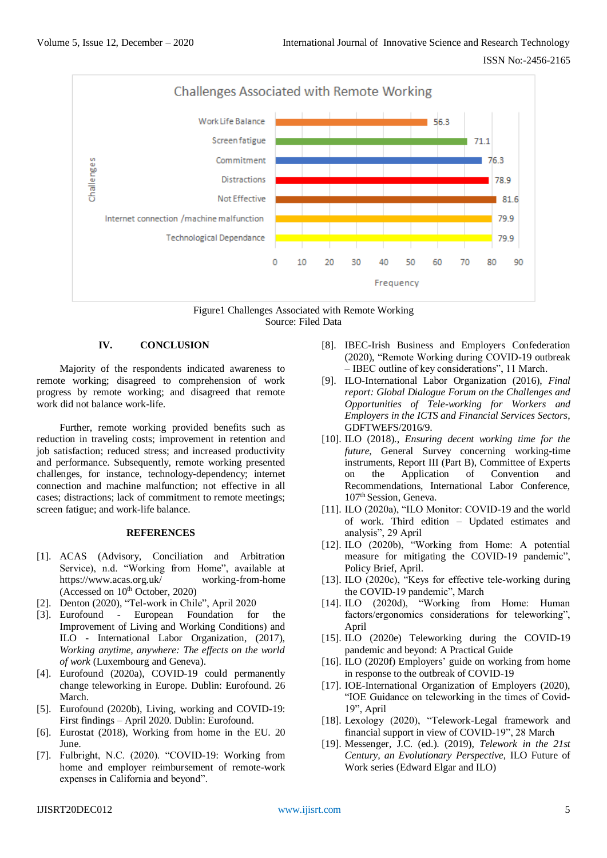



## **IV. CONCLUSION**

Majority of the respondents indicated awareness to remote working; disagreed to comprehension of work progress by remote working; and disagreed that remote work did not balance work-life.

Further, remote working provided benefits such as reduction in traveling costs; improvement in retention and job satisfaction; reduced stress; and increased productivity and performance. Subsequently, remote working presented challenges, for instance, technology-dependency; internet connection and machine malfunction; not effective in all cases; distractions; lack of commitment to remote meetings; screen fatigue; and work-life balance.

#### **REFERENCES**

- [1]. ACAS (Advisory, Conciliation and Arbitration Service), n.d. "Working from Home", available at https://www.acas.org.uk/ working-from-home (Accessed on  $10<sup>th</sup>$  October, 2020)
- [2]. Denton (2020), "Tel-work in Chile", April 2020
- [3]. Eurofound European Foundation for Improvement of Living and Working Conditions) and ILO - International Labor Organization, (2017), *Working anytime, anywhere: The effects on the world of work* (Luxembourg and Geneva).
- [4]. Eurofound (2020a), COVID-19 could permanently change teleworking in Europe. Dublin: Eurofound. 26 March.
- [5]. Eurofound (2020b), Living, working and COVID-19: First findings – April 2020. Dublin: Eurofound.
- [6]. Eurostat (2018), Working from home in the EU. 20 June.
- [7]. Fulbright, N.C. (2020). "COVID-19: Working from home and employer reimbursement of remote-work expenses in California and beyond".
- [8]. IBEC-Irish Business and Employers Confederation (2020), "Remote Working during COVID-19 outbreak – IBEC outline of key considerations", 11 March.
- [9]. ILO-International Labor Organization (2016), *Final report: Global Dialogue Forum on the Challenges and Opportunities of Tele-working for Workers and Employers in the ICTS and Financial Services Sectors*, GDFTWEFS/2016/9.
- [10]. ILO (2018)., *Ensuring decent working time for the future*, General Survey concerning working-time instruments, Report III (Part B), Committee of Experts on the Application of Convention and Recommendations, International Labor Conference, 107th Session, Geneva.
- [11]. ILO (2020a), "ILO Monitor: COVID-19 and the world of work. Third edition – Updated estimates and analysis", 29 April
- [12]. ILO (2020b), "Working from Home: A potential measure for mitigating the COVID-19 pandemic", Policy Brief, April.
- [13]. ILO (2020c), "Keys for effective tele-working during the COVID-19 pandemic", March
- [14]. ILO (2020d), "Working from Home: Human factors/ergonomics considerations for teleworking", April
- [15]. ILO (2020e) Teleworking during the COVID-19 pandemic and beyond: A Practical Guide
- [16]. ILO (2020f) Employers' guide on working from home in response to the outbreak of COVID-19
- [17]. IOE-International Organization of Employers (2020), "IOE Guidance on teleworking in the times of Covid-19", April
- [18]. Lexology (2020), "Telework-Legal framework and financial support in view of COVID-19", 28 March
- [19]. Messenger, J.C. (ed.). (2019), *Telework in the 21st Century, an Evolutionary Perspective*, ILO Future of Work series (Edward Elgar and ILO)